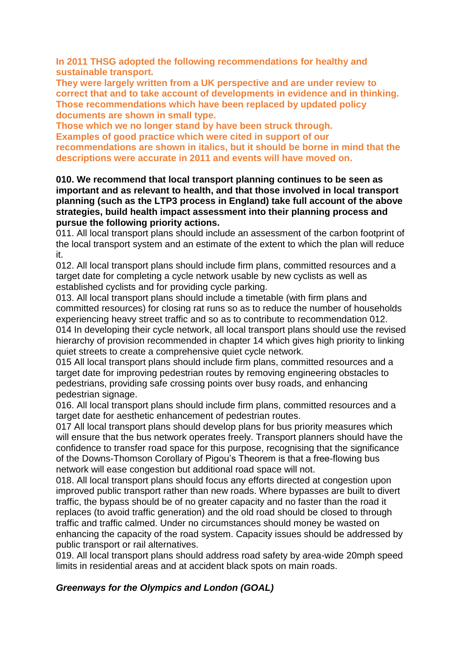**In 2011 THSG adopted the following recommendations for healthy and sustainable transport.** 

**They were largely written from a UK perspective and are under review to correct that and to take account of developments in evidence and in thinking. Those recommendations which have been replaced by updated policy documents are shown in small type.** 

**Those which we no longer stand by have been struck through. Examples of good practice which were cited in support of our recommendations are shown in italics, but it should be borne in mind that the descriptions were accurate in 2011 and events will have moved on.**

**010. We recommend that local transport planning continues to be seen as important and as relevant to health, and that those involved in local transport planning (such as the LTP3 process in England) take full account of the above strategies, build health impact assessment into their planning process and pursue the following priority actions.**

011. All local transport plans should include an assessment of the carbon footprint of the local transport system and an estimate of the extent to which the plan will reduce it.

012. All local transport plans should include firm plans, committed resources and a target date for completing a cycle network usable by new cyclists as well as established cyclists and for providing cycle parking.

013. All local transport plans should include a timetable (with firm plans and committed resources) for closing rat runs so as to reduce the number of households experiencing heavy street traffic and so as to contribute to recommendation 012. 014 In developing their cycle network, all local transport plans should use the revised hierarchy of provision recommended in chapter 14 which gives high priority to linking quiet streets to create a comprehensive quiet cycle network.

015 All local transport plans should include firm plans, committed resources and a target date for improving pedestrian routes by removing engineering obstacles to pedestrians, providing safe crossing points over busy roads, and enhancing pedestrian signage.

016. All local transport plans should include firm plans, committed resources and a target date for aesthetic enhancement of pedestrian routes.

017 All local transport plans should develop plans for bus priority measures which will ensure that the bus network operates freely. Transport planners should have the confidence to transfer road space for this purpose, recognising that the significance of the Downs-Thomson Corollary of Pigou's Theorem is that a free-flowing bus network will ease congestion but additional road space will not.

018. All local transport plans should focus any efforts directed at congestion upon improved public transport rather than new roads. Where bypasses are built to divert traffic, the bypass should be of no greater capacity and no faster than the road it replaces (to avoid traffic generation) and the old road should be closed to through traffic and traffic calmed. Under no circumstances should money be wasted on enhancing the capacity of the road system. Capacity issues should be addressed by public transport or rail alternatives.

019. All local transport plans should address road safety by area-wide 20mph speed limits in residential areas and at accident black spots on main roads.

# *Greenways for the Olympics and London (GOAL)*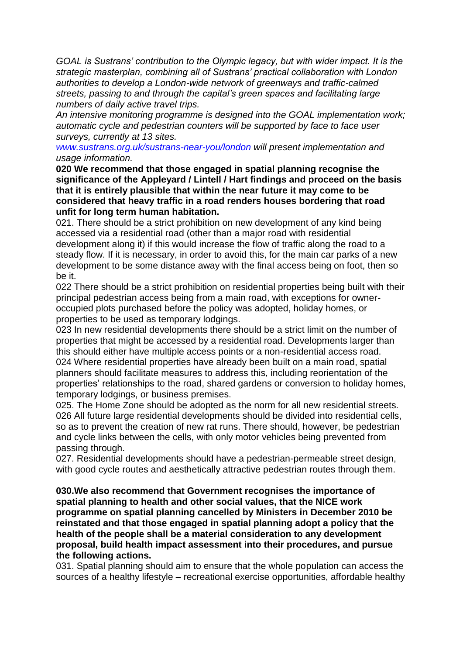*GOAL is Sustrans' contribution to the Olympic legacy, but with wider impact. It is the strategic masterplan, combining all of Sustrans' practical collaboration with London authorities to develop a London-wide network of greenways and traffic-calmed streets, passing to and through the capital's green spaces and facilitating large numbers of daily active travel trips.*

*An intensive monitoring programme is designed into the GOAL implementation work; automatic cycle and pedestrian counters will be supported by face to face user surveys, currently at 13 sites.*

*www.sustrans.org.uk/sustrans-near-you/london will present implementation and usage information.*

**020 We recommend that those engaged in spatial planning recognise the significance of the Appleyard / Lintell / Hart findings and proceed on the basis that it is entirely plausible that within the near future it may come to be considered that heavy traffic in a road renders houses bordering that road unfit for long term human habitation.**

021. There should be a strict prohibition on new development of any kind being accessed via a residential road (other than a major road with residential development along it) if this would increase the flow of traffic along the road to a steady flow. If it is necessary, in order to avoid this, for the main car parks of a new development to be some distance away with the final access being on foot, then so be it.

022 There should be a strict prohibition on residential properties being built with their principal pedestrian access being from a main road, with exceptions for owneroccupied plots purchased before the policy was adopted, holiday homes, or properties to be used as temporary lodgings.

023 In new residential developments there should be a strict limit on the number of properties that might be accessed by a residential road. Developments larger than this should either have multiple access points or a non-residential access road. 024 Where residential properties have already been built on a main road, spatial planners should facilitate measures to address this, including reorientation of the properties' relationships to the road, shared gardens or conversion to holiday homes, temporary lodgings, or business premises.

025. The Home Zone should be adopted as the norm for all new residential streets. 026 All future large residential developments should be divided into residential cells, so as to prevent the creation of new rat runs. There should, however, be pedestrian and cycle links between the cells, with only motor vehicles being prevented from passing through.

027. Residential developments should have a pedestrian-permeable street design, with good cycle routes and aesthetically attractive pedestrian routes through them.

**030.We also recommend that Government recognises the importance of spatial planning to health and other social values, that the NICE work programme on spatial planning cancelled by Ministers in December 2010 be reinstated and that those engaged in spatial planning adopt a policy that the health of the people shall be a material consideration to any development proposal, build health impact assessment into their procedures, and pursue the following actions.**

031. Spatial planning should aim to ensure that the whole population can access the sources of a healthy lifestyle – recreational exercise opportunities, affordable healthy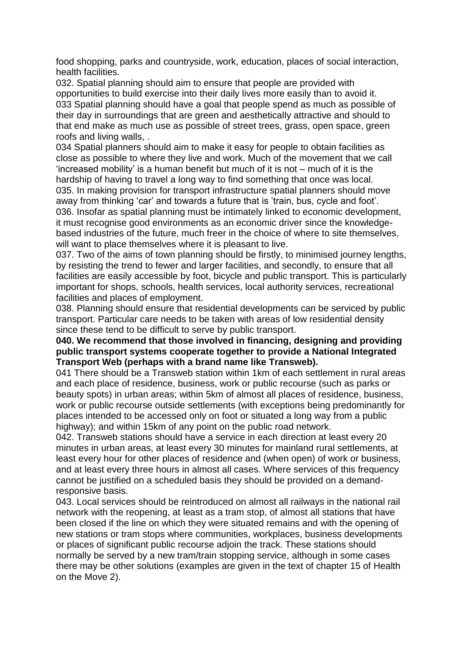food shopping, parks and countryside, work, education, places of social interaction, health facilities.

032. Spatial planning should aim to ensure that people are provided with opportunities to build exercise into their daily lives more easily than to avoid it. 033 Spatial planning should have a goal that people spend as much as possible of their day in surroundings that are green and aesthetically attractive and should to that end make as much use as possible of street trees, grass, open space, green roofs and living walls, .

034 Spatial planners should aim to make it easy for people to obtain facilities as close as possible to where they live and work. Much of the movement that we call 'increased mobility' is a human benefit but much of it is not – much of it is the hardship of having to travel a long way to find something that once was local. 035. In making provision for transport infrastructure spatial planners should move away from thinking 'car' and towards a future that is 'train, bus, cycle and foot'. 036. Insofar as spatial planning must be intimately linked to economic development, it must recognise good environments as an economic driver since the knowledgebased industries of the future, much freer in the choice of where to site themselves, will want to place themselves where it is pleasant to live.

037. Two of the aims of town planning should be firstly, to minimised journey lengths, by resisting the trend to fewer and larger facilities, and secondly, to ensure that all facilities are easily accessible by foot, bicycle and public transport. This is particularly important for shops, schools, health services, local authority services, recreational facilities and places of employment.

038. Planning should ensure that residential developments can be serviced by public transport. Particular care needs to be taken with areas of low residential density since these tend to be difficult to serve by public transport.

#### **040. We recommend that those involved in financing, designing and providing public transport systems cooperate together to provide a National Integrated Transport Web (perhaps with a brand name like Transweb).**

041 There should be a Transweb station within 1km of each settlement in rural areas and each place of residence, business, work or public recourse (such as parks or beauty spots) in urban areas; within 5km of almost all places of residence, business, work or public recourse outside settlements (with exceptions being predominantly for places intended to be accessed only on foot or situated a long way from a public highway); and within 15km of any point on the public road network.

042. Transweb stations should have a service in each direction at least every 20 minutes in urban areas, at least every 30 minutes for mainland rural settlements, at least every hour for other places of residence and (when open) of work or business, and at least every three hours in almost all cases. Where services of this frequency cannot be justified on a scheduled basis they should be provided on a demandresponsive basis.

043. Local services should be reintroduced on almost all railways in the national rail network with the reopening, at least as a tram stop, of almost all stations that have been closed if the line on which they were situated remains and with the opening of new stations or tram stops where communities, workplaces, business developments or places of significant public recourse adjoin the track. These stations should normally be served by a new tram/train stopping service, although in some cases there may be other solutions (examples are given in the text of chapter 15 of Health on the Move 2).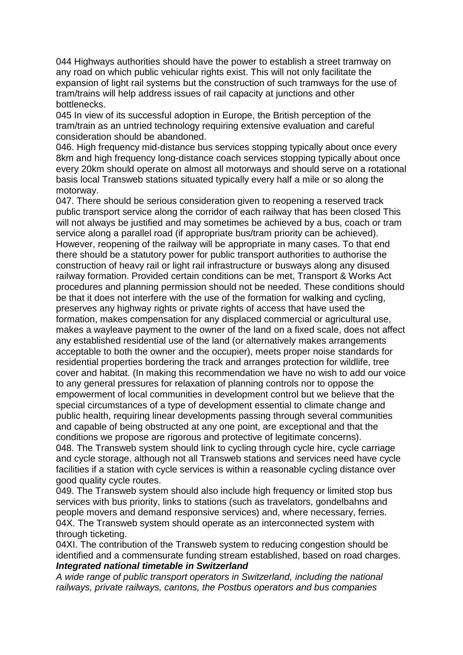044 Highways authorities should have the power to establish a street tramway on any road on which public vehicular rights exist. This will not only facilitate the expansion of light rail systems but the construction of such tramways for the use of tram/trains will help address issues of rail capacity at junctions and other bottlenecks.

045 In view of its successful adoption in Europe, the British perception of the tram/train as an untried technology requiring extensive evaluation and careful consideration should be abandoned.

046. High frequency mid-distance bus services stopping typically about once every 8km and high frequency long-distance coach services stopping typically about once every 20km should operate on almost all motorways and should serve on a rotational basis local Transweb stations situated typically every half a mile or so along the motorway.

047. There should be serious consideration given to reopening a reserved track public transport service along the corridor of each railway that has been closed This will not always be justified and may sometimes be achieved by a bus, coach or tram service along a parallel road (if appropriate bus/tram priority can be achieved). However, reopening of the railway will be appropriate in many cases. To that end there should be a statutory power for public transport authorities to authorise the construction of heavy rail or light rail infrastructure or busways along any disused railway formation. Provided certain conditions can be met, Transport & Works Act procedures and planning permission should not be needed. These conditions should be that it does not interfere with the use of the formation for walking and cycling, preserves any highway rights or private rights of access that have used the formation, makes compensation for any displaced commercial or agricultural use, makes a wayleave payment to the owner of the land on a fixed scale, does not affect any established residential use of the land (or alternatively makes arrangements acceptable to both the owner and the occupier), meets proper noise standards for residential properties bordering the track and arranges protection for wildlife, tree cover and habitat. (In making this recommendation we have no wish to add our voice to any general pressures for relaxation of planning controls nor to oppose the empowerment of local communities in development control but we believe that the special circumstances of a type of development essential to climate change and public health, requiring linear developments passing through several communities and capable of being obstructed at any one point, are exceptional and that the conditions we propose are rigorous and protective of legitimate concerns). 048. The Transweb system should link to cycling through cycle hire, cycle carriage and cycle storage, although not all Transweb stations and services need have cycle facilities if a station with cycle services is within a reasonable cycling distance over good quality cycle routes.

049. The Transweb system should also include high frequency or limited stop bus services with bus priority, links to stations (such as travelators, gondelbahns and people movers and demand responsive services) and, where necessary, ferries. 04X. The Transweb system should operate as an interconnected system with through ticketing.

04XI. The contribution of the Transweb system to reducing congestion should be identified and a commensurate funding stream established, based on road charges. *Integrated national timetable in Switzerland*

*A wide range of public transport operators in Switzerland, including the national railways, private railways, cantons, the Postbus operators and bus companies*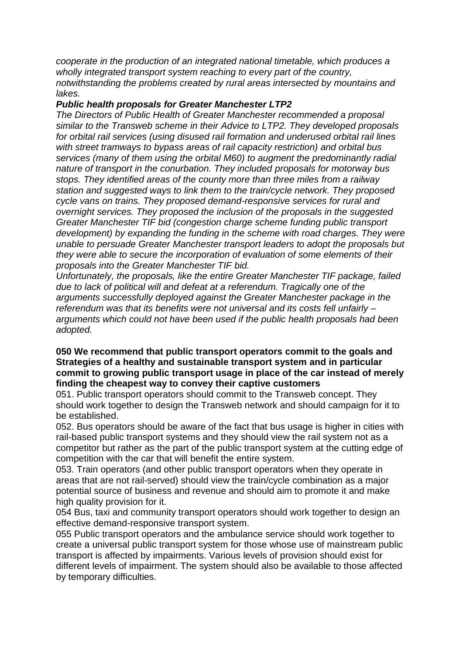*cooperate in the production of an integrated national timetable, which produces a wholly integrated transport system reaching to every part of the country, notwithstanding the problems created by rural areas intersected by mountains and lakes.*

#### *Public health proposals for Greater Manchester LTP2*

*The Directors of Public Health of Greater Manchester recommended a proposal similar to the Transweb scheme in their Advice to LTP2. They developed proposals for orbital rail services (using disused rail formation and underused orbital rail lines with street tramways to bypass areas of rail capacity restriction) and orbital bus services (many of them using the orbital M60) to augment the predominantly radial nature of transport in the conurbation. They included proposals for motorway bus stops. They identified areas of the county more than three miles from a railway station and suggested ways to link them to the train/cycle network. They proposed cycle vans on trains. They proposed demand-responsive services for rural and overnight services. They proposed the inclusion of the proposals in the suggested Greater Manchester TIF bid (congestion charge scheme funding public transport development) by expanding the funding in the scheme with road charges. They were unable to persuade Greater Manchester transport leaders to adopt the proposals but they were able to secure the incorporation of evaluation of some elements of their proposals into the Greater Manchester TIF bid.*

*Unfortunately, the proposals, like the entire Greater Manchester TIF package, failed due to lack of political will and defeat at a referendum. Tragically one of the arguments successfully deployed against the Greater Manchester package in the referendum was that its benefits were not universal and its costs fell unfairly – arguments which could not have been used if the public health proposals had been adopted.*

### **050 We recommend that public transport operators commit to the goals and Strategies of a healthy and sustainable transport system and in particular commit to growing public transport usage in place of the car instead of merely finding the cheapest way to convey their captive customers**

051. Public transport operators should commit to the Transweb concept. They should work together to design the Transweb network and should campaign for it to be established.

052. Bus operators should be aware of the fact that bus usage is higher in cities with rail-based public transport systems and they should view the rail system not as a competitor but rather as the part of the public transport system at the cutting edge of competition with the car that will benefit the entire system.

053. Train operators (and other public transport operators when they operate in areas that are not rail-served) should view the train/cycle combination as a major potential source of business and revenue and should aim to promote it and make high quality provision for it.

054 Bus, taxi and community transport operators should work together to design an effective demand-responsive transport system.

055 Public transport operators and the ambulance service should work together to create a universal public transport system for those whose use of mainstream public transport is affected by impairments. Various levels of provision should exist for different levels of impairment. The system should also be available to those affected by temporary difficulties.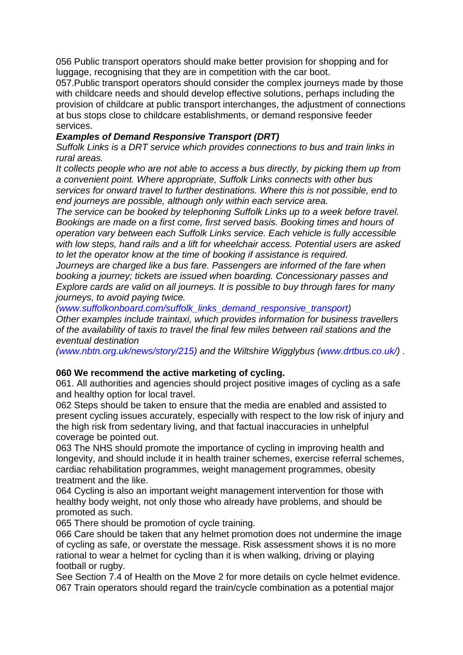056 Public transport operators should make better provision for shopping and for luggage, recognising that they are in competition with the car boot.

057.Public transport operators should consider the complex journeys made by those with childcare needs and should develop effective solutions, perhaps including the provision of childcare at public transport interchanges, the adjustment of connections at bus stops close to childcare establishments, or demand responsive feeder services.

# *Examples of Demand Responsive Transport (DRT)*

*Suffolk Links is a DRT service which provides connections to bus and train links in rural areas.*

*It collects people who are not able to access a bus directly, by picking them up from a convenient point. Where appropriate, Suffolk Links connects with other bus services for onward travel to further destinations. Where this is not possible, end to end journeys are possible, although only within each service area.*

*The service can be booked by telephoning Suffolk Links up to a week before travel. Bookings are made on a first come, first served basis. Booking times and hours of operation vary between each Suffolk Links service. Each vehicle is fully accessible with low steps, hand rails and a lift for wheelchair access. Potential users are asked to let the operator know at the time of booking if assistance is required.*

*Journeys are charged like a bus fare. Passengers are informed of the fare when booking a journey; tickets are issued when boarding. Concessionary passes and Explore cards are valid on all journeys. It is possible to buy through fares for many journeys, to avoid paying twice.*

*(www.suffolkonboard.com/suffolk\_links\_demand\_responsive\_transport)*

*Other examples include traintaxi, which provides information for business travellers of the availability of taxis to travel the final few miles between rail stations and the eventual destination*

*(www.nbtn.org.uk/news/story/215) and the Wiltshire Wigglybus (www.drtbus.co.uk/) .*

### **060 We recommend the active marketing of cycling.**

061. All authorities and agencies should project positive images of cycling as a safe and healthy option for local travel.

062 Steps should be taken to ensure that the media are enabled and assisted to present cycling issues accurately, especially with respect to the low risk of injury and the high risk from sedentary living, and that factual inaccuracies in unhelpful coverage be pointed out.

063 The NHS should promote the importance of cycling in improving health and longevity, and should include it in health trainer schemes, exercise referral schemes, cardiac rehabilitation programmes, weight management programmes, obesity treatment and the like.

064 Cycling is also an important weight management intervention for those with healthy body weight, not only those who already have problems, and should be promoted as such.

065 There should be promotion of cycle training.

066 Care should be taken that any helmet promotion does not undermine the image of cycling as safe, or overstate the message. Risk assessment shows it is no more rational to wear a helmet for cycling than it is when walking, driving or playing football or rugby.

See Section 7.4 of Health on the Move 2 for more details on cycle helmet evidence. 067 Train operators should regard the train/cycle combination as a potential major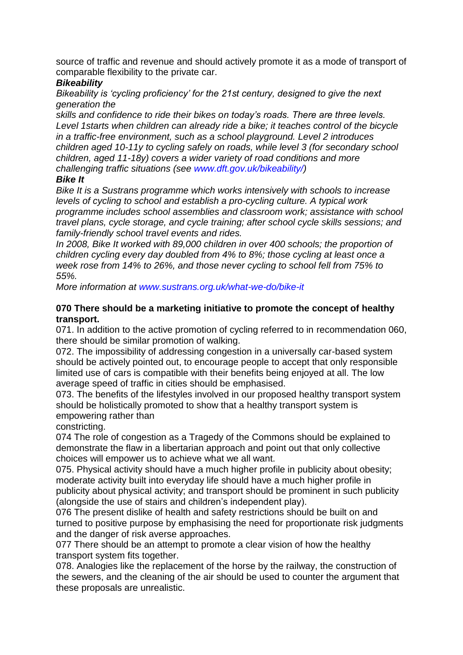source of traffic and revenue and should actively promote it as a mode of transport of comparable flexibility to the private car.

# *Bikeability*

*Bikeability is 'cycling proficiency' for the 21st century, designed to give the next generation the*

*skills and confidence to ride their bikes on today's roads. There are three levels. Level 1starts when children can already ride a bike; it teaches control of the bicycle in a traffic-free environment, such as a school playground. Level 2 introduces children aged 10-11y to cycling safely on roads, while level 3 (for secondary school children, aged 11-18y) covers a wider variety of road conditions and more challenging traffic situations (see www.dft.gov.uk/bikeability/)*

# *Bike It*

*Bike It is a Sustrans programme which works intensively with schools to increase levels of cycling to school and establish a pro-cycling culture. A typical work programme includes school assemblies and classroom work; assistance with school travel plans, cycle storage, and cycle training; after school cycle skills sessions; and family-friendly school travel events and rides.*

In 2008. Bike It worked with 89,000 children in over 400 schools; the proportion of *children cycling every day doubled from 4% to 8%; those cycling at least once a week rose from 14% to 26%, and those never cycling to school fell from 75% to 55%.*

*More information at www.sustrans.org.uk/what-we-do/bike-it*

#### **070 There should be a marketing initiative to promote the concept of healthy transport.**

071. In addition to the active promotion of cycling referred to in recommendation 060, there should be similar promotion of walking.

072. The impossibility of addressing congestion in a universally car-based system should be actively pointed out, to encourage people to accept that only responsible limited use of cars is compatible with their benefits being enjoyed at all. The low average speed of traffic in cities should be emphasised.

073. The benefits of the lifestyles involved in our proposed healthy transport system should be holistically promoted to show that a healthy transport system is empowering rather than

constricting.

074 The role of congestion as a Tragedy of the Commons should be explained to demonstrate the flaw in a libertarian approach and point out that only collective choices will empower us to achieve what we all want.

075. Physical activity should have a much higher profile in publicity about obesity; moderate activity built into everyday life should have a much higher profile in publicity about physical activity; and transport should be prominent in such publicity (alongside the use of stairs and children's independent play).

076 The present dislike of health and safety restrictions should be built on and turned to positive purpose by emphasising the need for proportionate risk judgments and the danger of risk averse approaches.

077 There should be an attempt to promote a clear vision of how the healthy transport system fits together.

078. Analogies like the replacement of the horse by the railway, the construction of the sewers, and the cleaning of the air should be used to counter the argument that these proposals are unrealistic.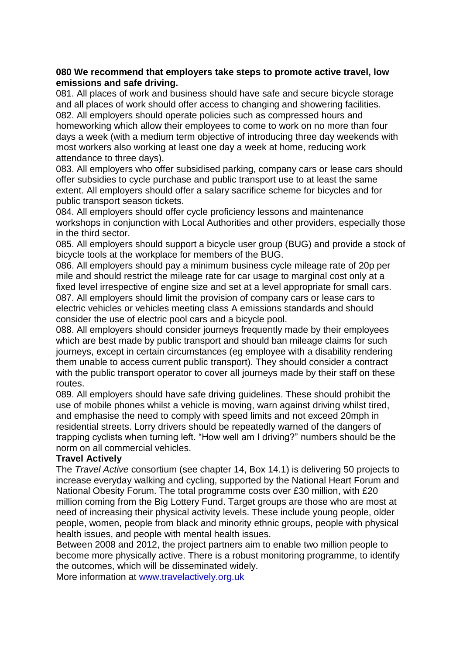### **080 We recommend that employers take steps to promote active travel, low emissions and safe driving.**

081. All places of work and business should have safe and secure bicycle storage and all places of work should offer access to changing and showering facilities. 082. All employers should operate policies such as compressed hours and homeworking which allow their employees to come to work on no more than four days a week (with a medium term objective of introducing three day weekends with most workers also working at least one day a week at home, reducing work attendance to three days).

083. All employers who offer subsidised parking, company cars or lease cars should offer subsidies to cycle purchase and public transport use to at least the same extent. All employers should offer a salary sacrifice scheme for bicycles and for public transport season tickets.

084. All employers should offer cycle proficiency lessons and maintenance workshops in conjunction with Local Authorities and other providers, especially those in the third sector.

085. All employers should support a bicycle user group (BUG) and provide a stock of bicycle tools at the workplace for members of the BUG.

086. All employers should pay a minimum business cycle mileage rate of 20p per mile and should restrict the mileage rate for car usage to marginal cost only at a fixed level irrespective of engine size and set at a level appropriate for small cars. 087. All employers should limit the provision of company cars or lease cars to electric vehicles or vehicles meeting class A emissions standards and should consider the use of electric pool cars and a bicycle pool.

088. All employers should consider journeys frequently made by their employees which are best made by public transport and should ban mileage claims for such journeys, except in certain circumstances (eg employee with a disability rendering them unable to access current public transport). They should consider a contract with the public transport operator to cover all journeys made by their staff on these routes.

089. All employers should have safe driving guidelines. These should prohibit the use of mobile phones whilst a vehicle is moving, warn against driving whilst tired, and emphasise the need to comply with speed limits and not exceed 20mph in residential streets. Lorry drivers should be repeatedly warned of the dangers of trapping cyclists when turning left. "How well am I driving?" numbers should be the norm on all commercial vehicles.

### **Travel Actively**

The *Travel Active* consortium (see chapter 14, Box 14.1) is delivering 50 projects to increase everyday walking and cycling, supported by the National Heart Forum and National Obesity Forum. The total programme costs over £30 million, with £20 million coming from the Big Lottery Fund. Target groups are those who are most at need of increasing their physical activity levels. These include young people, older people, women, people from black and minority ethnic groups, people with physical health issues, and people with mental health issues.

Between 2008 and 2012, the project partners aim to enable two million people to become more physically active. There is a robust monitoring programme, to identify the outcomes, which will be disseminated widely.

More information at www.travelactively.org.uk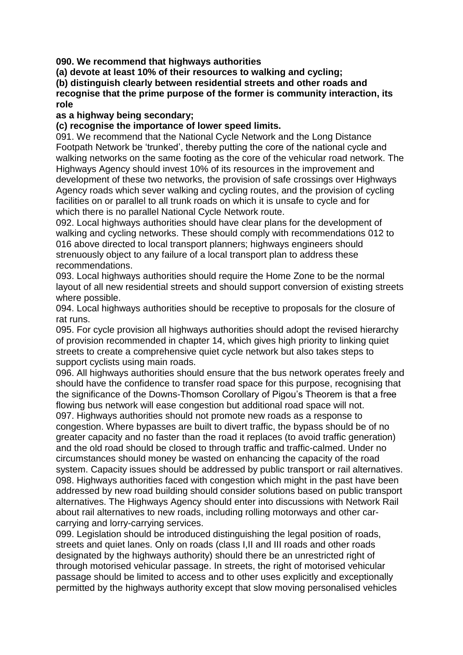**090. We recommend that highways authorities**

**(a) devote at least 10% of their resources to walking and cycling;**

**(b) distinguish clearly between residential streets and other roads and**

**recognise that the prime purpose of the former is community interaction, its role**

### **as a highway being secondary;**

# **(c) recognise the importance of lower speed limits.**

091. We recommend that the National Cycle Network and the Long Distance Footpath Network be 'trunked', thereby putting the core of the national cycle and walking networks on the same footing as the core of the vehicular road network. The Highways Agency should invest 10% of its resources in the improvement and development of these two networks, the provision of safe crossings over Highways Agency roads which sever walking and cycling routes, and the provision of cycling facilities on or parallel to all trunk roads on which it is unsafe to cycle and for which there is no parallel National Cycle Network route.

092. Local highways authorities should have clear plans for the development of walking and cycling networks. These should comply with recommendations 012 to 016 above directed to local transport planners; highways engineers should strenuously object to any failure of a local transport plan to address these recommendations.

093. Local highways authorities should require the Home Zone to be the normal layout of all new residential streets and should support conversion of existing streets where possible.

094. Local highways authorities should be receptive to proposals for the closure of rat runs.

095. For cycle provision all highways authorities should adopt the revised hierarchy of provision recommended in chapter 14, which gives high priority to linking quiet streets to create a comprehensive quiet cycle network but also takes steps to support cyclists using main roads.

096. All highways authorities should ensure that the bus network operates freely and should have the confidence to transfer road space for this purpose, recognising that the significance of the Downs-Thomson Corollary of Pigou's Theorem is that a free flowing bus network will ease congestion but additional road space will not. 097. Highways authorities should not promote new roads as a response to congestion. Where bypasses are built to divert traffic, the bypass should be of no greater capacity and no faster than the road it replaces (to avoid traffic generation) and the old road should be closed to through traffic and traffic-calmed. Under no circumstances should money be wasted on enhancing the capacity of the road system. Capacity issues should be addressed by public transport or rail alternatives. 098. Highways authorities faced with congestion which might in the past have been addressed by new road building should consider solutions based on public transport alternatives. The Highways Agency should enter into discussions with Network Rail about rail alternatives to new roads, including rolling motorways and other carcarrying and lorry-carrying services.

099. Legislation should be introduced distinguishing the legal position of roads, streets and quiet lanes. Only on roads (class I,II and III roads and other roads designated by the highways authority) should there be an unrestricted right of through motorised vehicular passage. In streets, the right of motorised vehicular passage should be limited to access and to other uses explicitly and exceptionally permitted by the highways authority except that slow moving personalised vehicles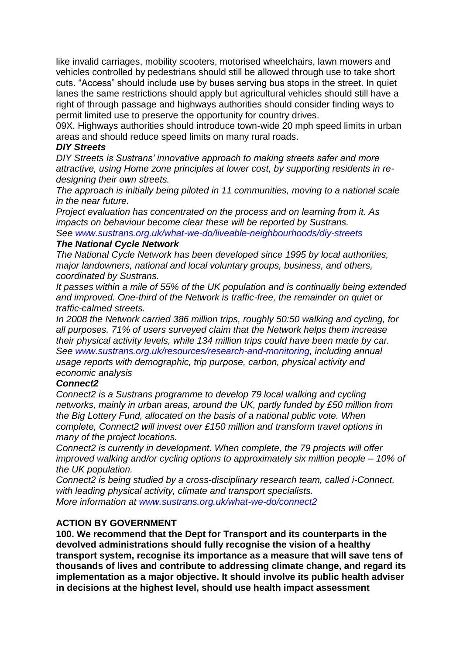like invalid carriages, mobility scooters, motorised wheelchairs, lawn mowers and vehicles controlled by pedestrians should still be allowed through use to take short cuts. "Access" should include use by buses serving bus stops in the street. In quiet lanes the same restrictions should apply but agricultural vehicles should still have a right of through passage and highways authorities should consider finding ways to permit limited use to preserve the opportunity for country drives.

09X. Highways authorities should introduce town-wide 20 mph speed limits in urban areas and should reduce speed limits on many rural roads.

#### *DIY Streets*

*DIY Streets is Sustrans' innovative approach to making streets safer and more attractive, using Home zone principles at lower cost, by supporting residents in redesigning their own streets.*

*The approach is initially being piloted in 11 communities, moving to a national scale in the near future.*

*Project evaluation has concentrated on the process and on learning from it. As impacts on behaviour become clear these will be reported by Sustrans. See www.sustrans.org.uk/what-we-do/liveable-neighbourhoods/diy-streets*

#### *The National Cycle Network*

*The National Cycle Network has been developed since 1995 by local authorities, major landowners, national and local voluntary groups, business, and others, coordinated by Sustrans.*

*It passes within a mile of 55% of the UK population and is continually being extended and improved. One-third of the Network is traffic-free, the remainder on quiet or traffic-calmed streets.*

*In 2008 the Network carried 386 million trips, roughly 50:50 walking and cycling, for all purposes. 71% of users surveyed claim that the Network helps them increase their physical activity levels, while 134 million trips could have been made by car. See www.sustrans.org.uk/resources/research-and-monitoring, including annual usage reports with demographic, trip purpose, carbon, physical activity and economic analysis*

### *Connect2*

*Connect2 is a Sustrans programme to develop 79 local walking and cycling networks, mainly in urban areas, around the UK, partly funded by £50 million from the Big Lottery Fund, allocated on the basis of a national public vote. When complete, Connect2 will invest over £150 million and transform travel options in many of the project locations.*

*Connect2 is currently in development. When complete, the 79 projects will offer improved walking and/or cycling options to approximately six million people – 10% of the UK population.*

*Connect2 is being studied by a cross-disciplinary research team, called i-Connect, with leading physical activity, climate and transport specialists. More information at www.sustrans.org.uk/what-we-do/connect2*

### **ACTION BY GOVERNMENT**

**100. We recommend that the Dept for Transport and its counterparts in the devolved administrations should fully recognise the vision of a healthy transport system, recognise its importance as a measure that will save tens of thousands of lives and contribute to addressing climate change, and regard its implementation as a major objective. It should involve its public health adviser in decisions at the highest level, should use health impact assessment**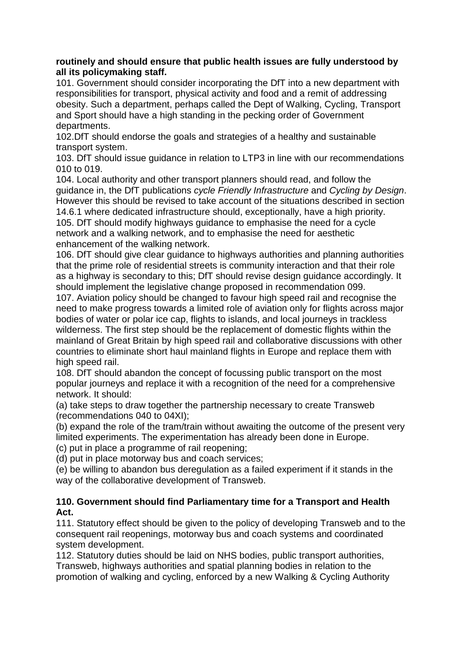### **routinely and should ensure that public health issues are fully understood by all its policymaking staff.**

101. Government should consider incorporating the DfT into a new department with responsibilities for transport, physical activity and food and a remit of addressing obesity. Such a department, perhaps called the Dept of Walking, Cycling, Transport and Sport should have a high standing in the pecking order of Government departments.

102.DfT should endorse the goals and strategies of a healthy and sustainable transport system.

103. DfT should issue guidance in relation to LTP3 in line with our recommendations 010 to 019.

104. Local authority and other transport planners should read, and follow the guidance in, the DfT publications *cycle Friendly Infrastructure* and *Cycling by Design*. However this should be revised to take account of the situations described in section 14.6.1 where dedicated infrastructure should, exceptionally, have a high priority.

105. DfT should modify highways guidance to emphasise the need for a cycle network and a walking network, and to emphasise the need for aesthetic enhancement of the walking network.

106. DfT should give clear guidance to highways authorities and planning authorities that the prime role of residential streets is community interaction and that their role as a highway is secondary to this; DfT should revise design guidance accordingly. It should implement the legislative change proposed in recommendation 099.

107. Aviation policy should be changed to favour high speed rail and recognise the need to make progress towards a limited role of aviation only for flights across major bodies of water or polar ice cap, flights to islands, and local journeys in trackless wilderness. The first step should be the replacement of domestic flights within the mainland of Great Britain by high speed rail and collaborative discussions with other countries to eliminate short haul mainland flights in Europe and replace them with high speed rail.

108. DfT should abandon the concept of focussing public transport on the most popular journeys and replace it with a recognition of the need for a comprehensive network. It should:

(a) take steps to draw together the partnership necessary to create Transweb (recommendations 040 to 04XI);

(b) expand the role of the tram/train without awaiting the outcome of the present very limited experiments. The experimentation has already been done in Europe.

(c) put in place a programme of rail reopening;

(d) put in place motorway bus and coach services;

(e) be willing to abandon bus deregulation as a failed experiment if it stands in the way of the collaborative development of Transweb.

### **110. Government should find Parliamentary time for a Transport and Health Act.**

111. Statutory effect should be given to the policy of developing Transweb and to the consequent rail reopenings, motorway bus and coach systems and coordinated system development.

112. Statutory duties should be laid on NHS bodies, public transport authorities, Transweb, highways authorities and spatial planning bodies in relation to the promotion of walking and cycling, enforced by a new Walking & Cycling Authority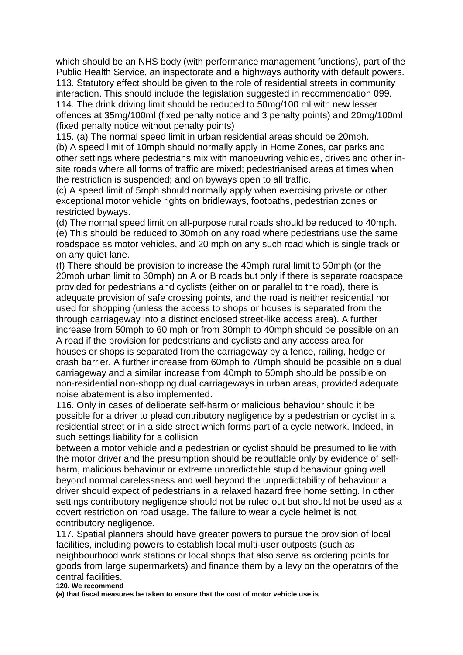which should be an NHS body (with performance management functions), part of the Public Health Service, an inspectorate and a highways authority with default powers. 113. Statutory effect should be given to the role of residential streets in community interaction. This should include the legislation suggested in recommendation 099. 114. The drink driving limit should be reduced to 50mg/100 ml with new lesser offences at 35mg/100ml (fixed penalty notice and 3 penalty points) and 20mg/100ml (fixed penalty notice without penalty points)

115. (a) The normal speed limit in urban residential areas should be 20mph. (b) A speed limit of 10mph should normally apply in Home Zones, car parks and other settings where pedestrians mix with manoeuvring vehicles, drives and other insite roads where all forms of traffic are mixed; pedestrianised areas at times when the restriction is suspended; and on byways open to all traffic.

(c) A speed limit of 5mph should normally apply when exercising private or other exceptional motor vehicle rights on bridleways, footpaths, pedestrian zones or restricted byways.

(d) The normal speed limit on all-purpose rural roads should be reduced to 40mph. (e) This should be reduced to 30mph on any road where pedestrians use the same roadspace as motor vehicles, and 20 mph on any such road which is single track or on any quiet lane.

(f) There should be provision to increase the 40mph rural limit to 50mph (or the 20mph urban limit to 30mph) on A or B roads but only if there is separate roadspace provided for pedestrians and cyclists (either on or parallel to the road), there is adequate provision of safe crossing points, and the road is neither residential nor used for shopping (unless the access to shops or houses is separated from the through carriageway into a distinct enclosed street-like access area). A further increase from 50mph to 60 mph or from 30mph to 40mph should be possible on an A road if the provision for pedestrians and cyclists and any access area for houses or shops is separated from the carriageway by a fence, railing, hedge or crash barrier. A further increase from 60mph to 70mph should be possible on a dual carriageway and a similar increase from 40mph to 50mph should be possible on non-residential non-shopping dual carriageways in urban areas, provided adequate noise abatement is also implemented.

116. Only in cases of deliberate self-harm or malicious behaviour should it be possible for a driver to plead contributory negligence by a pedestrian or cyclist in a residential street or in a side street which forms part of a cycle network. Indeed, in such settings liability for a collision

between a motor vehicle and a pedestrian or cyclist should be presumed to lie with the motor driver and the presumption should be rebuttable only by evidence of selfharm, malicious behaviour or extreme unpredictable stupid behaviour going well beyond normal carelessness and well beyond the unpredictability of behaviour a driver should expect of pedestrians in a relaxed hazard free home setting. In other settings contributory negligence should not be ruled out but should not be used as a covert restriction on road usage. The failure to wear a cycle helmet is not contributory negligence.

117. Spatial planners should have greater powers to pursue the provision of local facilities, including powers to establish local multi-user outposts (such as neighbourhood work stations or local shops that also serve as ordering points for goods from large supermarkets) and finance them by a levy on the operators of the central facilities.

**120. We recommend**

**(a) that fiscal measures be taken to ensure that the cost of motor vehicle use is**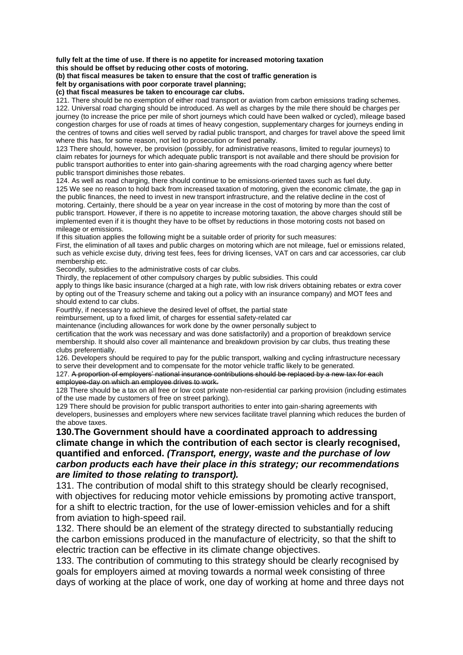**fully felt at the time of use. If there is no appetite for increased motoring taxation this should be offset by reducing other costs of motoring.**

**(b) that fiscal measures be taken to ensure that the cost of traffic generation is**

**felt by organisations with poor corporate travel planning;**

**(c) that fiscal measures be taken to encourage car clubs.**

121. There should be no exemption of either road transport or aviation from carbon emissions trading schemes. 122. Universal road charging should be introduced. As well as charges by the mile there should be charges per journey (to increase the price per mile of short journeys which could have been walked or cycled), mileage based congestion charges for use of roads at times of heavy congestion, supplementary charges for journeys ending in the centres of towns and cities well served by radial public transport, and charges for travel above the speed limit where this has, for some reason, not led to prosecution or fixed penalty.

123 There should, however, be provision (possibly, for administrative reasons, limited to regular journeys) to claim rebates for journeys for which adequate public transport is not available and there should be provision for public transport authorities to enter into gain-sharing agreements with the road charging agency where better public transport diminishes those rebates.

124. As well as road charging, there should continue to be emissions-oriented taxes such as fuel duty.

125 We see no reason to hold back from increased taxation of motoring, given the economic climate, the gap in the public finances, the need to invest in new transport infrastructure, and the relative decline in the cost of motoring. Certainly, there should be a year on year increase in the cost of motoring by more than the cost of public transport. However, if there is no appetite to increase motoring taxation, the above charges should still be implemented even if it is thought they have to be offset by reductions in those motoring costs not based on mileage or emissions.

If this situation applies the following might be a suitable order of priority for such measures:

First, the elimination of all taxes and public charges on motoring which are not mileage, fuel or emissions related, such as vehicle excise duty, driving test fees, fees for driving licenses, VAT on cars and car accessories, car club membership etc.

Secondly, subsidies to the administrative costs of car clubs.

Thirdly, the replacement of other compulsory charges by public subsidies. This could

apply to things like basic insurance (charged at a high rate, with low risk drivers obtaining rebates or extra cover by opting out of the Treasury scheme and taking out a policy with an insurance company) and MOT fees and should extend to car clubs.

Fourthly, if necessary to achieve the desired level of offset, the partial state

reimbursement, up to a fixed limit, of charges for essential safety-related car

maintenance (including allowances for work done by the owner personally subject to

certification that the work was necessary and was done satisfactorily) and a proportion of breakdown service membership. It should also cover all maintenance and breakdown provision by car clubs, thus treating these clubs preferentially.

126. Developers should be required to pay for the public transport, walking and cycling infrastructure necessary to serve their development and to compensate for the motor vehicle traffic likely to be generated.

127. A proportion of employers' national insurance contributions should be replaced by a new tax for each employee-day on which an employee drives to work.

128 There should be a tax on all free or low cost private non-residential car parking provision (including estimates of the use made by customers of free on street parking).

129 There should be provision for public transport authorities to enter into gain-sharing agreements with developers, businesses and employers where new services facilitate travel planning which reduces the burden of the above taxes.

#### **130.The Government should have a coordinated approach to addressing climate change in which the contribution of each sector is clearly recognised, quantified and enforced.** *(Transport, energy, waste and the purchase of low carbon products each have their place in this strategy; our recommendations are limited to those relating to transport).*

131. The contribution of modal shift to this strategy should be clearly recognised, with objectives for reducing motor vehicle emissions by promoting active transport, for a shift to electric traction, for the use of lower-emission vehicles and for a shift from aviation to high-speed rail.

132. There should be an element of the strategy directed to substantially reducing the carbon emissions produced in the manufacture of electricity, so that the shift to electric traction can be effective in its climate change objectives.

133. The contribution of commuting to this strategy should be clearly recognised by goals for employers aimed at moving towards a normal week consisting of three days of working at the place of work, one day of working at home and three days not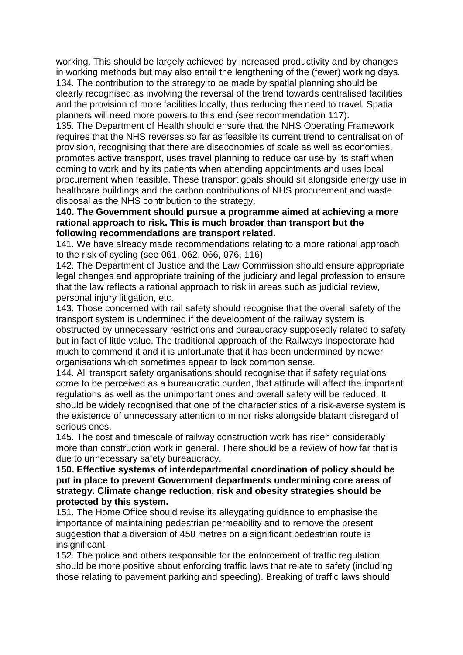working. This should be largely achieved by increased productivity and by changes in working methods but may also entail the lengthening of the (fewer) working days. 134. The contribution to the strategy to be made by spatial planning should be clearly recognised as involving the reversal of the trend towards centralised facilities and the provision of more facilities locally, thus reducing the need to travel. Spatial planners will need more powers to this end (see recommendation 117).

135. The Department of Health should ensure that the NHS Operating Framework requires that the NHS reverses so far as feasible its current trend to centralisation of provision, recognising that there are diseconomies of scale as well as economies, promotes active transport, uses travel planning to reduce car use by its staff when coming to work and by its patients when attending appointments and uses local procurement when feasible. These transport goals should sit alongside energy use in healthcare buildings and the carbon contributions of NHS procurement and waste disposal as the NHS contribution to the strategy.

#### **140. The Government should pursue a programme aimed at achieving a more rational approach to risk. This is much broader than transport but the following recommendations are transport related.**

141. We have already made recommendations relating to a more rational approach to the risk of cycling (see 061, 062, 066, 076, 116)

142. The Department of Justice and the Law Commission should ensure appropriate legal changes and appropriate training of the judiciary and legal profession to ensure that the law reflects a rational approach to risk in areas such as judicial review, personal injury litigation, etc.

143. Those concerned with rail safety should recognise that the overall safety of the transport system is undermined if the development of the railway system is obstructed by unnecessary restrictions and bureaucracy supposedly related to safety but in fact of little value. The traditional approach of the Railways Inspectorate had much to commend it and it is unfortunate that it has been undermined by newer organisations which sometimes appear to lack common sense.

144. All transport safety organisations should recognise that if safety regulations come to be perceived as a bureaucratic burden, that attitude will affect the important regulations as well as the unimportant ones and overall safety will be reduced. It should be widely recognised that one of the characteristics of a risk-averse system is the existence of unnecessary attention to minor risks alongside blatant disregard of serious ones.

145. The cost and timescale of railway construction work has risen considerably more than construction work in general. There should be a review of how far that is due to unnecessary safety bureaucracy.

**150. Effective systems of interdepartmental coordination of policy should be put in place to prevent Government departments undermining core areas of strategy. Climate change reduction, risk and obesity strategies should be protected by this system.**

151. The Home Office should revise its alleygating guidance to emphasise the importance of maintaining pedestrian permeability and to remove the present suggestion that a diversion of 450 metres on a significant pedestrian route is insignificant.

152. The police and others responsible for the enforcement of traffic regulation should be more positive about enforcing traffic laws that relate to safety (including those relating to pavement parking and speeding). Breaking of traffic laws should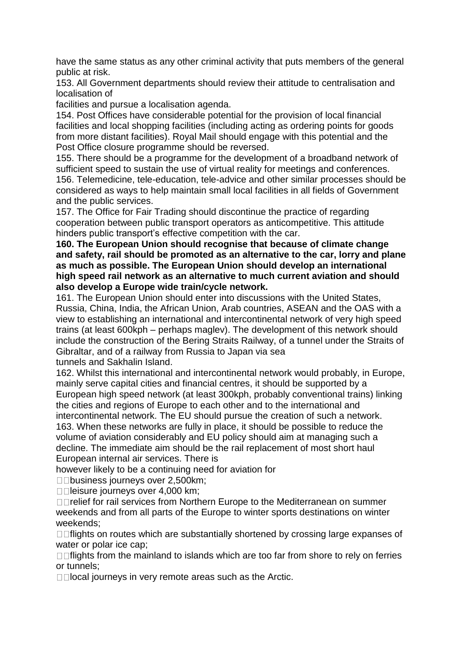have the same status as any other criminal activity that puts members of the general public at risk.

153. All Government departments should review their attitude to centralisation and localisation of

facilities and pursue a localisation agenda.

154. Post Offices have considerable potential for the provision of local financial facilities and local shopping facilities (including acting as ordering points for goods from more distant facilities). Royal Mail should engage with this potential and the Post Office closure programme should be reversed.

155. There should be a programme for the development of a broadband network of sufficient speed to sustain the use of virtual reality for meetings and conferences. 156. Telemedicine, tele-education, tele-advice and other similar processes should be considered as ways to help maintain small local facilities in all fields of Government and the public services.

157. The Office for Fair Trading should discontinue the practice of regarding cooperation between public transport operators as anticompetitive. This attitude hinders public transport's effective competition with the car.

**160. The European Union should recognise that because of climate change and safety, rail should be promoted as an alternative to the car, lorry and plane as much as possible. The European Union should develop an international high speed rail network as an alternative to much current aviation and should also develop a Europe wide train/cycle network.**

161. The European Union should enter into discussions with the United States, Russia, China, India, the African Union, Arab countries, ASEAN and the OAS with a view to establishing an international and intercontinental network of very high speed trains (at least 600kph – perhaps maglev). The development of this network should include the construction of the Bering Straits Railway, of a tunnel under the Straits of Gibraltar, and of a railway from Russia to Japan via sea tunnels and Sakhalin Island.

162. Whilst this international and intercontinental network would probably, in Europe, mainly serve capital cities and financial centres, it should be supported by a European high speed network (at least 300kph, probably conventional trains) linking the cities and regions of Europe to each other and to the international and intercontinental network. The EU should pursue the creation of such a network. 163. When these networks are fully in place, it should be possible to reduce the volume of aviation considerably and EU policy should aim at managing such a decline. The immediate aim should be the rail replacement of most short haul European internal air services. There is

however likely to be a continuing need for aviation for

□□business journeys over 2,500km;

**□□leisure journeys over 4,000 km;** 

□□relief for rail services from Northern Europe to the Mediterranean on summer weekends and from all parts of the Europe to winter sports destinations on winter weekends;

□□ flights on routes which are substantially shortened by crossing large expanses of water or polar ice cap;

 $\Box$  flights from the mainland to islands which are too far from shore to rely on ferries or tunnels;

 $\Box$   $\Box$  local journeys in very remote areas such as the Arctic.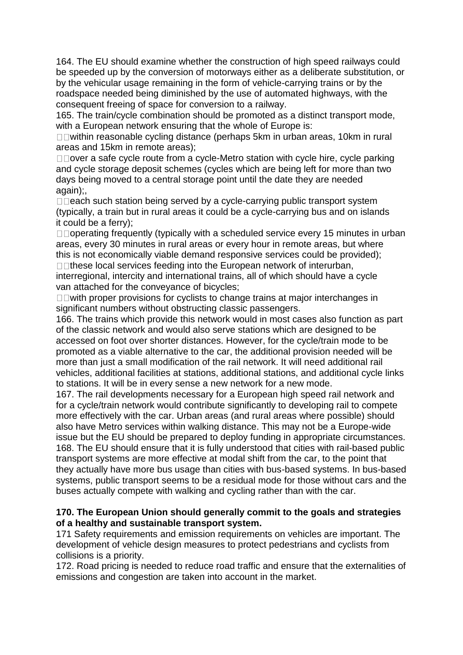164. The EU should examine whether the construction of high speed railways could be speeded up by the conversion of motorways either as a deliberate substitution, or by the vehicular usage remaining in the form of vehicle-carrying trains or by the roadspace needed being diminished by the use of automated highways, with the consequent freeing of space for conversion to a railway.

165. The train/cycle combination should be promoted as a distinct transport mode, with a European network ensuring that the whole of Europe is:

□□within reasonable cycling distance (perhaps 5km in urban areas, 10km in rural areas and 15km in remote areas);

 $\square$  over a safe cycle route from a cycle-Metro station with cycle hire, cycle parking and cycle storage deposit schemes (cycles which are being left for more than two days being moved to a central storage point until the date they are needed again);,

 $\Box$  each such station being served by a cycle-carrying public transport system (typically, a train but in rural areas it could be a cycle-carrying bus and on islands it could be a ferry);

 $\Box$  operating frequently (typically with a scheduled service every 15 minutes in urban areas, every 30 minutes in rural areas or every hour in remote areas, but where this is not economically viable demand responsive services could be provided);

 $\Box$ These local services feeding into the European network of interurban, interregional, intercity and international trains, all of which should have a cycle van attached for the conveyance of bicycles;

 $\square$  with proper provisions for cyclists to change trains at major interchanges in significant numbers without obstructing classic passengers.

166. The trains which provide this network would in most cases also function as part of the classic network and would also serve stations which are designed to be accessed on foot over shorter distances. However, for the cycle/train mode to be promoted as a viable alternative to the car, the additional provision needed will be more than just a small modification of the rail network. It will need additional rail vehicles, additional facilities at stations, additional stations, and additional cycle links to stations. It will be in every sense a new network for a new mode.

167. The rail developments necessary for a European high speed rail network and for a cycle/train network would contribute significantly to developing rail to compete more effectively with the car. Urban areas (and rural areas where possible) should also have Metro services within walking distance. This may not be a Europe-wide issue but the EU should be prepared to deploy funding in appropriate circumstances. 168. The EU should ensure that it is fully understood that cities with rail-based public transport systems are more effective at modal shift from the car, to the point that they actually have more bus usage than cities with bus-based systems. In bus-based systems, public transport seems to be a residual mode for those without cars and the buses actually compete with walking and cycling rather than with the car.

### **170. The European Union should generally commit to the goals and strategies of a healthy and sustainable transport system.**

171 Safety requirements and emission requirements on vehicles are important. The development of vehicle design measures to protect pedestrians and cyclists from collisions is a priority.

172. Road pricing is needed to reduce road traffic and ensure that the externalities of emissions and congestion are taken into account in the market.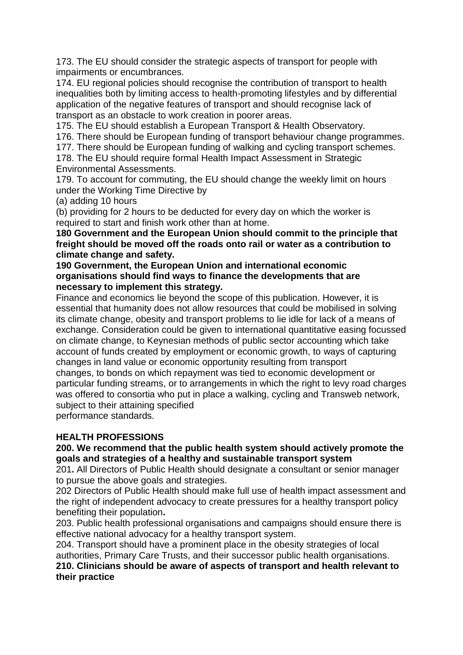173. The EU should consider the strategic aspects of transport for people with impairments or encumbrances.

174. EU regional policies should recognise the contribution of transport to health inequalities both by limiting access to health-promoting lifestyles and by differential application of the negative features of transport and should recognise lack of transport as an obstacle to work creation in poorer areas.

175. The EU should establish a European Transport & Health Observatory.

176. There should be European funding of transport behaviour change programmes.

177. There should be European funding of walking and cycling transport schemes.

178. The EU should require formal Health Impact Assessment in Strategic Environmental Assessments.

179. To account for commuting, the EU should change the weekly limit on hours under the Working Time Directive by

(a) adding 10 hours

(b) providing for 2 hours to be deducted for every day on which the worker is required to start and finish work other than at home.

**180 Government and the European Union should commit to the principle that freight should be moved off the roads onto rail or water as a contribution to climate change and safety.**

#### **190 Government, the European Union and international economic organisations should find ways to finance the developments that are necessary to implement this strategy.**

Finance and economics lie beyond the scope of this publication. However, it is essential that humanity does not allow resources that could be mobilised in solving its climate change, obesity and transport problems to lie idle for lack of a means of exchange. Consideration could be given to international quantitative easing focussed on climate change, to Keynesian methods of public sector accounting which take account of funds created by employment or economic growth, to ways of capturing changes in land value or economic opportunity resulting from transport changes, to bonds on which repayment was tied to economic development or particular funding streams, or to arrangements in which the right to levy road charges was offered to consortia who put in place a walking, cycling and Transweb network, subject to their attaining specified performance standards.

# **HEALTH PROFESSIONS**

### **200. We recommend that the public health system should actively promote the goals and strategies of a healthy and sustainable transport system**

201**.** All Directors of Public Health should designate a consultant or senior manager to pursue the above goals and strategies.

202 Directors of Public Health should make full use of health impact assessment and the right of independent advocacy to create pressures for a healthy transport policy benefiting their population**.**

203. Public health professional organisations and campaigns should ensure there is effective national advocacy for a healthy transport system.

204. Transport should have a prominent place in the obesity strategies of local authorities, Primary Care Trusts, and their successor public health organisations. **210. Clinicians should be aware of aspects of transport and health relevant to**

# **their practice**